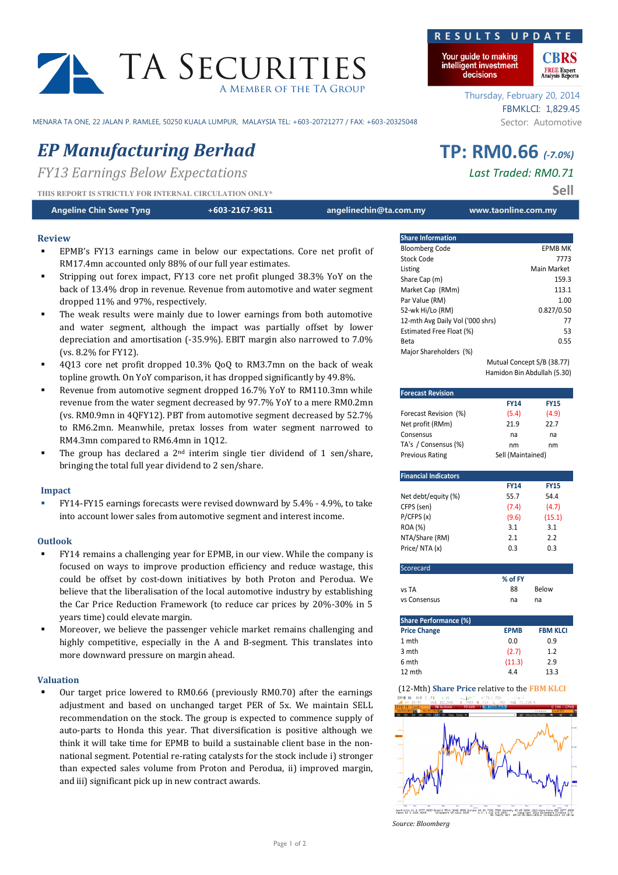# TA SECURITIES A Member of the TA Group

MENARA TA ONE, 22 JALAN P. RAMLEE, 50250 KUALA LUMPUR, MALAYSIA TEL: +603-20721277 / FAX: +603-20325048 Sector: Automotive

# EP Manufacturing Berhad TP: RM0.66 (-7.0%)

FY13 Earnings Below Expectations **Last Traded: RM0.71** 

THIS REPORT IS STRICTLY FOR INTERNAL CIRCULATION ONLY<sup>\*</sup>

Angeline Chin Swee Tyng **heat and the Chine of the State of the Chine** angelinechin@ta.com.my www.taonline.com.my

# Review

- EPMB's FY13 earnings came in below our expectations. Core net profit of RM17.4mn accounted only 88% of our full year estimates.
- Stripping out forex impact, FY13 core net profit plunged 38.3% YoY on the back of 13.4% drop in revenue. Revenue from automotive and water segment dropped 11% and 97%, respectively.
- The weak results were mainly due to lower earnings from both automotive and water segment, although the impact was partially offset by lower depreciation and amortisation (-35.9%). EBIT margin also narrowed to 7.0% (vs. 8.2% for FY12).
- 4Q13 core net profit dropped 10.3% QoQ to RM3.7mn on the back of weak topline growth. On YoY comparison, it has dropped significantly by 49.8%.
- Revenue from automotive segment dropped 16.7% YoY to RM110.3mn while revenue from the water segment decreased by 97.7% YoY to a mere RM0.2mn (vs. RM0.9mn in 4QFY12). PBT from automotive segment decreased by 52.7% to RM6.2mn. Meanwhile, pretax losses from water segment narrowed to RM4.3mn compared to RM6.4mn in 1Q12.
- The group has declared a  $2<sup>nd</sup>$  interim single tier dividend of 1 sen/share, bringing the total full year dividend to 2 sen/share.

# Impact

 FY14-FY15 earnings forecasts were revised downward by 5.4% - 4.9%, to take into account lower sales from automotive segment and interest income.

# Outlook

- FY14 remains a challenging year for EPMB, in our view. While the company is focused on ways to improve production efficiency and reduce wastage, this could be offset by cost-down initiatives by both Proton and Perodua. We believe that the liberalisation of the local automotive industry by establishing the Car Price Reduction Framework (to reduce car prices by 20%-30% in 5 years time) could elevate margin.
- Moreover, we believe the passenger vehicle market remains challenging and highly competitive, especially in the A and B-segment. This translates into more downward pressure on margin ahead.

### Valuation

 Our target price lowered to RM0.66 (previously RM0.70) after the earnings adjustment and based on unchanged target PER of 5x. We maintain SELL recommendation on the stock. The group is expected to commence supply of auto-parts to Honda this year. That diversification is positive although we think it will take time for EPMB to build a sustainable client base in the nonnational segment. Potential re-rating catalysts for the stock include i) stronger than expected sales volume from Proton and Perodua, ii) improved margin, and iii) significant pick up in new contract awards.

# R E S U L T S U P D A

Your guide to making intelligent investment decisions

> Thursday, February 20, 2014 FBMKLCI: 1,829.45

| <b>Share Information</b>         |                            |
|----------------------------------|----------------------------|
| <b>Bloomberg Code</b>            | <b>EPMB MK</b>             |
| Stock Code                       | 7773                       |
| Listing                          | Main Market                |
| Share Cap (m)                    | 159.3                      |
| Market Cap (RMm)                 | 113.1                      |
| Par Value (RM)                   | 1.00                       |
| 52-wk Hi/Lo (RM)                 | 0.827/0.50                 |
| 12-mth Avg Daily Vol ('000 shrs) | 77                         |
| Estimated Free Float (%)         | 53                         |
| Beta                             | 0.55                       |
| Major Shareholders (%)           |                            |
|                                  | Mutual Concept S/B (38.77) |

Hamidon Bin Abdullah (5.30)

| <b>Forecast Revision</b>                      |                   |                 |  |  |
|-----------------------------------------------|-------------------|-----------------|--|--|
|                                               | <b>FY14</b>       | <b>FY15</b>     |  |  |
| Forecast Revision (%)                         | (5.4)             | (4.9)           |  |  |
| Net profit (RMm)                              | 21.9              | 22.7            |  |  |
| Consensus                                     | na                | na              |  |  |
| TA's / Consensus (%)                          | nm                | nm              |  |  |
| <b>Previous Rating</b>                        | Sell (Maintained) |                 |  |  |
|                                               |                   |                 |  |  |
| <b>Financial Indicators</b>                   |                   |                 |  |  |
|                                               | <b>FY14</b>       | <b>FY15</b>     |  |  |
| Net debt/equity (%)                           | 55.7              | 54.4            |  |  |
| CFPS (sen)                                    | (7.4)             | (4.7)           |  |  |
| P/CFPS(x)                                     | (9.6)             | (15.1)          |  |  |
| ROA (%)                                       | 3.1               | 3.1             |  |  |
| NTA/Share (RM)                                | 2.1               | 2.2             |  |  |
| Price/NTA(x)                                  | 0.3               | 0.3             |  |  |
| Scorecard                                     |                   |                 |  |  |
|                                               | % of FY           |                 |  |  |
| vs TA                                         | 88                | <b>Relow</b>    |  |  |
| vs Consensus                                  | na                | na              |  |  |
| <b>Share Performance (%)</b>                  |                   |                 |  |  |
| <b>Price Change</b>                           | <b>EPMB</b>       | <b>FBM KLCI</b> |  |  |
| 1 mth                                         | 0.0               | 0.9             |  |  |
| 3 mth                                         | (2.7)             | 1.2             |  |  |
| 6 mth                                         | (11.3)            | 2.9             |  |  |
| 12 mth                                        | 4.4               | 13.3            |  |  |
| (12-Mth) Share Price relative to the FBM KLCI |                   |                 |  |  |